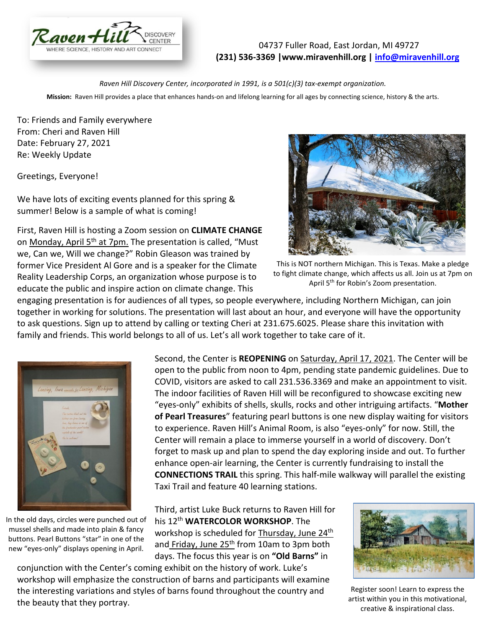

## 04737 Fuller Road, East Jordan, MI 49727 **(231) 536-3369 |www.miravenhill.org | [info@miravenhill.org](mailto:info@miravenhill.org)**

*Raven Hill Discovery Center, incorporated in 1991, is a 501(c)(3) tax-exempt organization.*

**Mission:** Raven Hill provides a place that enhances hands-on and lifelong learning for all ages by connecting science, history & the arts.

To: Friends and Family everywhere From: Cheri and Raven Hill Date: February 27, 2021 Re: Weekly Update

Greetings, Everyone!

We have lots of exciting events planned for this spring & summer! Below is a sample of what is coming!

First, Raven Hill is hosting a Zoom session on **CLIMATE CHANGE**  on Monday, April 5<sup>th</sup> at 7pm. The presentation is called, "Must we, Can we, Will we change?" Robin Gleason was trained by former Vice President Al Gore and is a speaker for the Climate Reality Leadership Corps, an organization whose purpose is to educate the public and inspire action on climate change. This



This is NOT northern Michigan. This is Texas. Make a pledge to fight climate change, which affects us all. Join us at 7pm on April 5<sup>th</sup> for Robin's Zoom presentation.

engaging presentation is for audiences of all types, so people everywhere, including Northern Michigan, can join together in working for solutions. The presentation will last about an hour, and everyone will have the opportunity to ask questions. Sign up to attend by calling or texting Cheri at 231.675.6025. Please share this invitation with family and friends. This world belongs to all of us. Let's all work together to take care of it.



In the old days, circles were punched out of mussel shells and made into plain & fancy buttons. Pearl Buttons "star" in one of the new "eyes-only" displays opening in April.

Second, the Center is **REOPENING** on Saturday, April 17, 2021. The Center will be open to the public from noon to 4pm, pending state pandemic guidelines. Due to COVID, visitors are asked to call 231.536.3369 and make an appointment to visit. The indoor facilities of Raven Hill will be reconfigured to showcase exciting new "eyes-only" exhibits of shells, skulls, rocks and other intriguing artifacts. "**Mother of Pearl Treasures**" featuring pearl buttons is one new display waiting for visitors to experience. Raven Hill's Animal Room, is also "eyes-only" for now. Still, the Center will remain a place to immerse yourself in a world of discovery. Don't forget to mask up and plan to spend the day exploring inside and out. To further enhance open-air learning, the Center is currently fundraising to install the **CONNECTIONS TRAIL** this spring. This half-mile walkway will parallel the existing Taxi Trail and feature 40 learning stations.

Third, artist Luke Buck returns to Raven Hill for his 12th **WATERCOLOR WORKSHOP**. The workshop is scheduled for Thursday, June 24<sup>th</sup> and Friday, June 25<sup>th</sup> from 10am to 3pm both days. The focus this year is on **"Old Barns"** in

conjunction with the Center's coming exhibit on the history of work. Luke's workshop will emphasize the construction of barns and participants will examine the interesting variations and styles of barns found throughout the country and the beauty that they portray.



Register soon! Learn to express the artist within you in this motivational, creative & inspirational class.